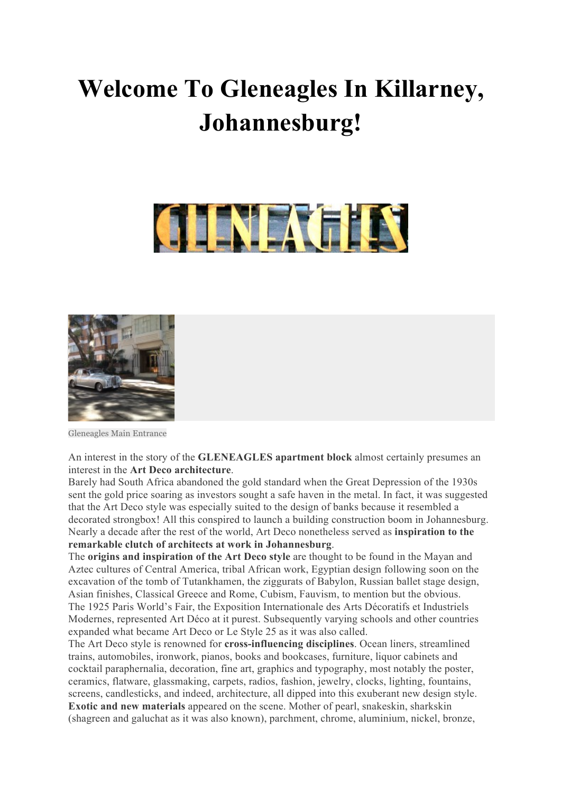## **Welcome To Gleneagles In Killarney, Johannesburg!**





Gleneagles Main Entrance

An interest in the story of the **GLENEAGLES apartment block** almost certainly presumes an interest in the **Art Deco architecture**.

Barely had South Africa abandoned the gold standard when the Great Depression of the 1930s sent the gold price soaring as investors sought a safe haven in the metal. In fact, it was suggested that the Art Deco style was especially suited to the design of banks because it resembled a decorated strongbox! All this conspired to launch a building construction boom in Johannesburg. Nearly a decade after the rest of the world, Art Deco nonetheless served as **inspiration to the remarkable clutch of architects at work in Johannesburg**.

The **origins and inspiration of the Art Deco style** are thought to be found in the Mayan and Aztec cultures of Central America, tribal African work, Egyptian design following soon on the excavation of the tomb of Tutankhamen, the ziggurats of Babylon, Russian ballet stage design, Asian finishes, Classical Greece and Rome, Cubism, Fauvism, to mention but the obvious. The 1925 Paris World's Fair, the Exposition Internationale des Arts Décoratifs et Industriels Modernes, represented Art Déco at it purest. Subsequently varying schools and other countries expanded what became Art Deco or Le Style 25 as it was also called.

The Art Deco style is renowned for **cross-influencing disciplines**. Ocean liners, streamlined trains, automobiles, ironwork, pianos, books and bookcases, furniture, liquor cabinets and cocktail paraphernalia, decoration, fine art, graphics and typography, most notably the poster, ceramics, flatware, glassmaking, carpets, radios, fashion, jewelry, clocks, lighting, fountains, screens, candlesticks, and indeed, architecture, all dipped into this exuberant new design style. **Exotic and new materials** appeared on the scene. Mother of pearl, snakeskin, sharkskin (shagreen and galuchat as it was also known), parchment, chrome, aluminium, nickel, bronze,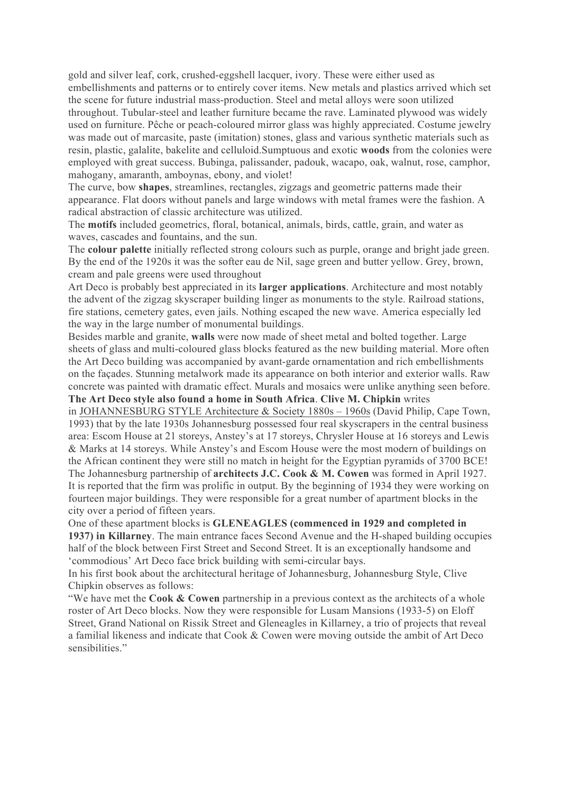gold and silver leaf, cork, crushed-eggshell lacquer, ivory. These were either used as embellishments and patterns or to entirely cover items. New metals and plastics arrived which set the scene for future industrial mass-production. Steel and metal alloys were soon utilized throughout. Tubular-steel and leather furniture became the rave. Laminated plywood was widely used on furniture. Pêche or peach-coloured mirror glass was highly appreciated. Costume jewelry was made out of marcasite, paste (imitation) stones, glass and various synthetic materials such as resin, plastic, galalite, bakelite and celluloid.Sumptuous and exotic **woods** from the colonies were employed with great success. Bubinga, palissander, padouk, wacapo, oak, walnut, rose, camphor, mahogany, amaranth, amboynas, ebony, and violet!

The curve, bow **shapes**, streamlines, rectangles, zigzags and geometric patterns made their appearance. Flat doors without panels and large windows with metal frames were the fashion. A radical abstraction of classic architecture was utilized.

The **motifs** included geometrics, floral, botanical, animals, birds, cattle, grain, and water as waves, cascades and fountains, and the sun.

The **colour palette** initially reflected strong colours such as purple, orange and bright jade green. By the end of the 1920s it was the softer eau de Nil, sage green and butter yellow. Grey, brown, cream and pale greens were used throughout

Art Deco is probably best appreciated in its **larger applications**. Architecture and most notably the advent of the zigzag skyscraper building linger as monuments to the style. Railroad stations, fire stations, cemetery gates, even jails. Nothing escaped the new wave. America especially led the way in the large number of monumental buildings.

Besides marble and granite, **walls** were now made of sheet metal and bolted together. Large sheets of glass and multi-coloured glass blocks featured as the new building material. More often the Art Deco building was accompanied by avant-garde ornamentation and rich embellishments on the façades. Stunning metalwork made its appearance on both interior and exterior walls. Raw concrete was painted with dramatic effect. Murals and mosaics were unlike anything seen before. **The Art Deco style also found a home in South Africa**. **Clive M. Chipkin** writes

in JOHANNESBURG STYLE Architecture & Society 1880s – 1960s (David Philip, Cape Town, 1993) that by the late 1930s Johannesburg possessed four real skyscrapers in the central business area: Escom House at 21 storeys, Anstey's at 17 storeys, Chrysler House at 16 storeys and Lewis & Marks at 14 storeys. While Anstey's and Escom House were the most modern of buildings on the African continent they were still no match in height for the Egyptian pyramids of 3700 BCE! The Johannesburg partnership of **architects J.C. Cook & M. Cowen** was formed in April 1927. It is reported that the firm was prolific in output. By the beginning of 1934 they were working on fourteen major buildings. They were responsible for a great number of apartment blocks in the city over a period of fifteen years.

One of these apartment blocks is **GLENEAGLES (commenced in 1929 and completed in 1937) in Killarney**. The main entrance faces Second Avenue and the H-shaped building occupies half of the block between First Street and Second Street. It is an exceptionally handsome and 'commodious' Art Deco face brick building with semi-circular bays.

In his first book about the architectural heritage of Johannesburg, Johannesburg Style, Clive Chipkin observes as follows:

"We have met the **Cook & Cowen** partnership in a previous context as the architects of a whole roster of Art Deco blocks. Now they were responsible for Lusam Mansions (1933-5) on Eloff Street, Grand National on Rissik Street and Gleneagles in Killarney, a trio of projects that reveal a familial likeness and indicate that Cook & Cowen were moving outside the ambit of Art Deco sensibilities."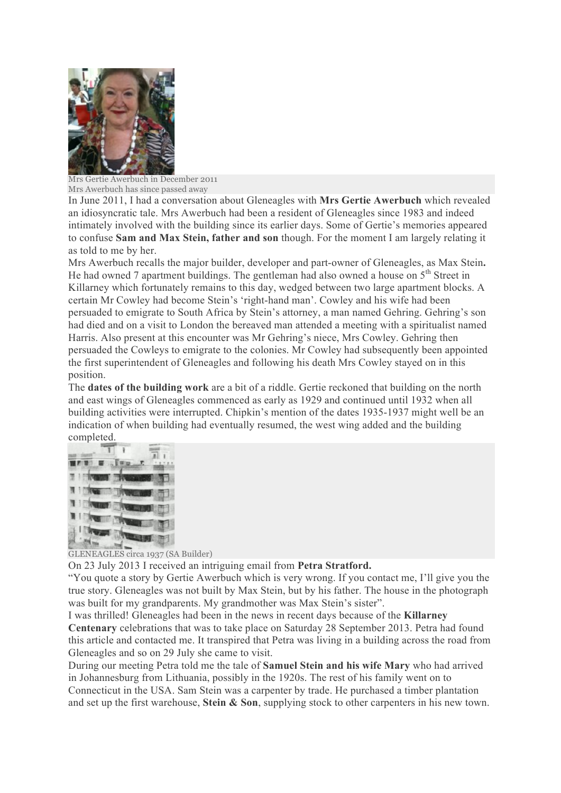

Mrs Gertie Awerbuch in December 2011 Mrs Awerbuch has since passed away

In June 2011, I had a conversation about Gleneagles with **Mrs Gertie Awerbuch** which revealed an idiosyncratic tale. Mrs Awerbuch had been a resident of Gleneagles since 1983 and indeed intimately involved with the building since its earlier days. Some of Gertie's memories appeared to confuse **Sam and Max Stein, father and son** though. For the moment I am largely relating it as told to me by her.

Mrs Awerbuch recalls the major builder, developer and part-owner of Gleneagles, as Max Stein**.** He had owned 7 apartment buildings. The gentleman had also owned a house on  $5<sup>th</sup>$  Street in Killarney which fortunately remains to this day, wedged between two large apartment blocks. A certain Mr Cowley had become Stein's 'right-hand man'. Cowley and his wife had been persuaded to emigrate to South Africa by Stein's attorney, a man named Gehring. Gehring's son had died and on a visit to London the bereaved man attended a meeting with a spiritualist named Harris. Also present at this encounter was Mr Gehring's niece, Mrs Cowley. Gehring then persuaded the Cowleys to emigrate to the colonies. Mr Cowley had subsequently been appointed the first superintendent of Gleneagles and following his death Mrs Cowley stayed on in this position.

The **dates of the building work** are a bit of a riddle. Gertie reckoned that building on the north and east wings of Gleneagles commenced as early as 1929 and continued until 1932 when all building activities were interrupted. Chipkin's mention of the dates 1935-1937 might well be an indication of when building had eventually resumed, the west wing added and the building completed.



GLENEAGLES circa 1937 (SA Builder)

On 23 July 2013 I received an intriguing email from **Petra Stratford.**

"You quote a story by Gertie Awerbuch which is very wrong. If you contact me, I'll give you the true story. Gleneagles was not built by Max Stein, but by his father. The house in the photograph was built for my grandparents. My grandmother was Max Stein's sister".

I was thrilled! Gleneagles had been in the news in recent days because of the **Killarney Centenary** celebrations that was to take place on Saturday 28 September 2013. Petra had found this article and contacted me. It transpired that Petra was living in a building across the road from Gleneagles and so on 29 July she came to visit.

During our meeting Petra told me the tale of **Samuel Stein and his wife Mary** who had arrived in Johannesburg from Lithuania, possibly in the 1920s. The rest of his family went on to Connecticut in the USA. Sam Stein was a carpenter by trade. He purchased a timber plantation and set up the first warehouse, **Stein & Son**, supplying stock to other carpenters in his new town.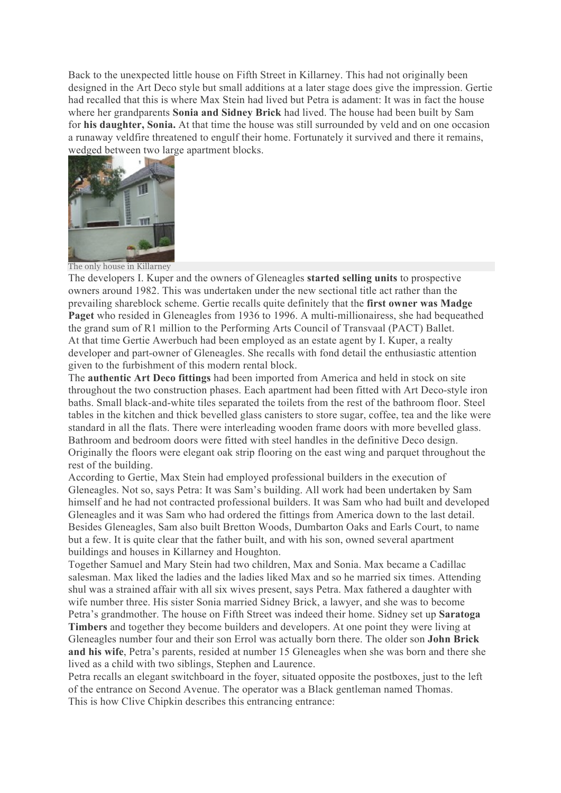Back to the unexpected little house on Fifth Street in Killarney. This had not originally been designed in the Art Deco style but small additions at a later stage does give the impression. Gertie had recalled that this is where Max Stein had lived but Petra is adament: It was in fact the house where her grandparents **Sonia and Sidney Brick** had lived. The house had been built by Sam for **his daughter, Sonia.** At that time the house was still surrounded by veld and on one occasion a runaway veldfire threatened to engulf their home. Fortunately it survived and there it remains, wedged between two large apartment blocks.



The only house in Killarney

The developers I. Kuper and the owners of Gleneagles **started selling units** to prospective owners around 1982. This was undertaken under the new sectional title act rather than the prevailing shareblock scheme. Gertie recalls quite definitely that the **first owner was Madge Paget** who resided in Gleneagles from 1936 to 1996. A multi-millionairess, she had bequeathed the grand sum of R1 million to the Performing Arts Council of Transvaal (PACT) Ballet. At that time Gertie Awerbuch had been employed as an estate agent by I. Kuper, a realty developer and part-owner of Gleneagles. She recalls with fond detail the enthusiastic attention given to the furbishment of this modern rental block.

The **authentic Art Deco fittings** had been imported from America and held in stock on site throughout the two construction phases. Each apartment had been fitted with Art Deco-style iron baths. Small black-and-white tiles separated the toilets from the rest of the bathroom floor. Steel tables in the kitchen and thick bevelled glass canisters to store sugar, coffee, tea and the like were standard in all the flats. There were interleading wooden frame doors with more bevelled glass. Bathroom and bedroom doors were fitted with steel handles in the definitive Deco design. Originally the floors were elegant oak strip flooring on the east wing and parquet throughout the rest of the building.

According to Gertie, Max Stein had employed professional builders in the execution of Gleneagles. Not so, says Petra: It was Sam's building. All work had been undertaken by Sam himself and he had not contracted professional builders. It was Sam who had built and developed Gleneagles and it was Sam who had ordered the fittings from America down to the last detail. Besides Gleneagles, Sam also built Bretton Woods, Dumbarton Oaks and Earls Court, to name but a few. It is quite clear that the father built, and with his son, owned several apartment buildings and houses in Killarney and Houghton.

Together Samuel and Mary Stein had two children, Max and Sonia. Max became a Cadillac salesman. Max liked the ladies and the ladies liked Max and so he married six times. Attending shul was a strained affair with all six wives present, says Petra. Max fathered a daughter with wife number three. His sister Sonia married Sidney Brick, a lawyer, and she was to become Petra's grandmother. The house on Fifth Street was indeed their home. Sidney set up **Saratoga Timbers** and together they become builders and developers. At one point they were living at Gleneagles number four and their son Errol was actually born there. The older son **John Brick and his wife**, Petra's parents, resided at number 15 Gleneagles when she was born and there she lived as a child with two siblings, Stephen and Laurence.

Petra recalls an elegant switchboard in the foyer, situated opposite the postboxes, just to the left of the entrance on Second Avenue. The operator was a Black gentleman named Thomas. This is how Clive Chipkin describes this entrancing entrance: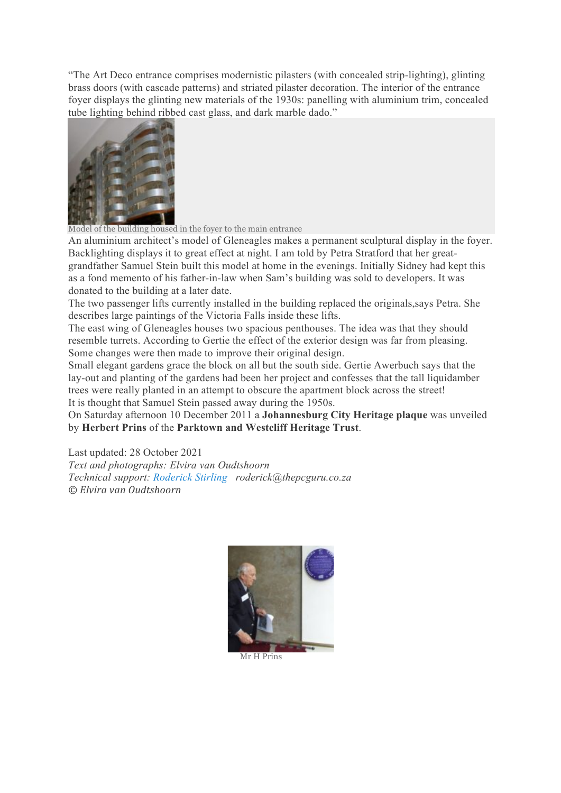"The Art Deco entrance comprises modernistic pilasters (with concealed strip-lighting), glinting brass doors (with cascade patterns) and striated pilaster decoration. The interior of the entrance foyer displays the glinting new materials of the 1930s: panelling with aluminium trim, concealed tube lighting behind ribbed cast glass, and dark marble dado."



Model of the building housed in the foyer to the main entrance

An aluminium architect's model of Gleneagles makes a permanent sculptural display in the foyer. Backlighting displays it to great effect at night. I am told by Petra Stratford that her greatgrandfather Samuel Stein built this model at home in the evenings. Initially Sidney had kept this as a fond memento of his father-in-law when Sam's building was sold to developers. It was donated to the building at a later date.

The two passenger lifts currently installed in the building replaced the originals,says Petra. She describes large paintings of the Victoria Falls inside these lifts.

The east wing of Gleneagles houses two spacious penthouses. The idea was that they should resemble turrets. According to Gertie the effect of the exterior design was far from pleasing. Some changes were then made to improve their original design.

Small elegant gardens grace the block on all but the south side. Gertie Awerbuch says that the lay-out and planting of the gardens had been her project and confesses that the tall liquidamber trees were really planted in an attempt to obscure the apartment block across the street! It is thought that Samuel Stein passed away during the 1950s.

On Saturday afternoon 10 December 2011 a **Johannesburg City Heritage plaque** was unveiled by **Herbert Prins** of the **Parktown and Westcliff Heritage Trust**.

Last updated: 28 October 2021 *Text and photographs: Elvira van Oudtshoorn Technical support: Roderick Stirling roderick@thepcguru.co.za © Elvira van Oudtshoorn*



Mr H Prins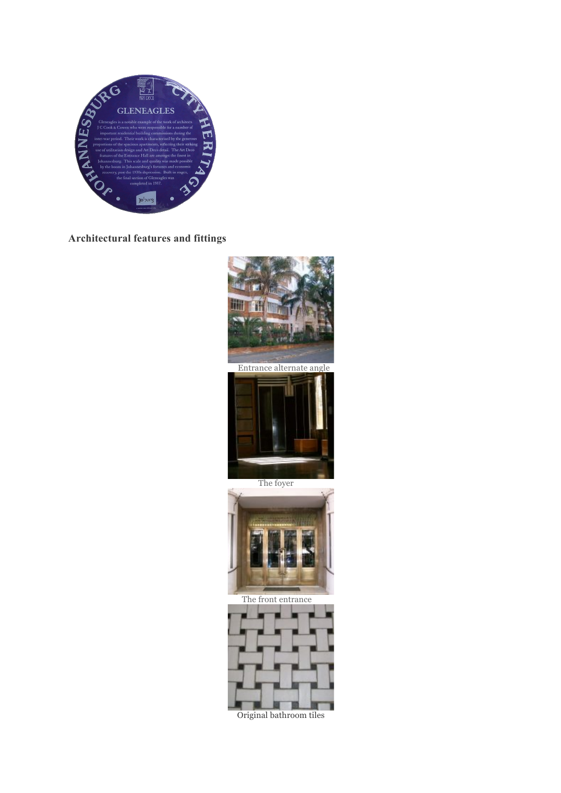

**Architectural features and fittings**



Original bathroom tiles- 5